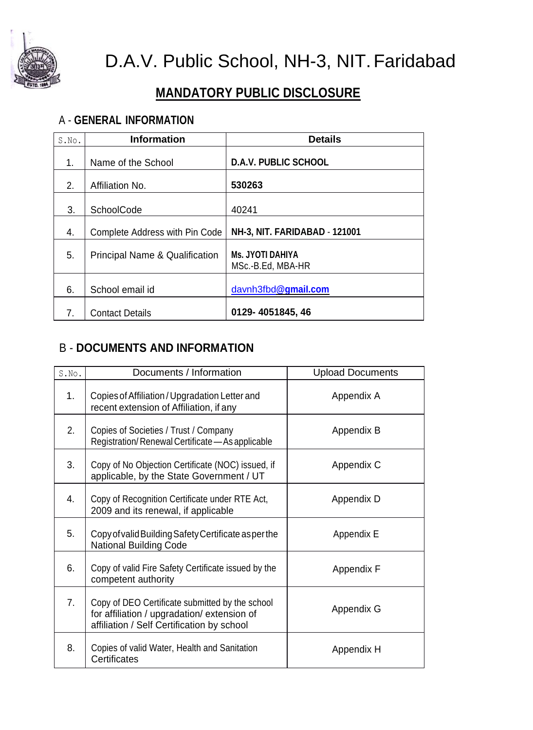

D.A.V. Public School, NH-3, NIT.Faridabad

## **MANDATORY PUBLIC DISCLOSURE**

## A - **GENERAL INFORMATION**

| S.No. | <b>Information</b>                        | <b>Details</b>                               |
|-------|-------------------------------------------|----------------------------------------------|
| 1.    | Name of the School                        | <b>D.A.V. PUBLIC SCHOOL</b>                  |
| 2.    | Affiliation No.                           | 530263                                       |
| 3.    | <b>SchoolCode</b>                         | 40241                                        |
| 4.    | Complete Address with Pin Code            | NH-3, NIT. FARIDABAD - 121001                |
| 5.    | <b>Principal Name &amp; Qualification</b> | <b>Ms. JYOTI DAHIYA</b><br>MSc.-B.Ed, MBA-HR |
| 6.    | School email id                           | davnh3fbd@gmail.com                          |
| 7.    | <b>Contact Details</b>                    | 0129-4051845, 46                             |

## B - **DOCUMENTS AND INFORMATION**

| S.No.          | Documents / Information                                                                                                                      | <b>Upload Documents</b> |
|----------------|----------------------------------------------------------------------------------------------------------------------------------------------|-------------------------|
| 1 <sub>1</sub> | Copies of Affiliation / Upgradation Letter and<br>recent extension of Affiliation, if any                                                    | Appendix A              |
| 2.             | Copies of Societies / Trust / Company<br>Registration/Renewal Certificate - As applicable                                                    | Appendix B              |
| 3.             | Copy of No Objection Certificate (NOC) issued, if<br>applicable, by the State Government / UT                                                | Appendix C              |
| 4.             | Copy of Recognition Certificate under RTE Act,<br>2009 and its renewal, if applicable                                                        | Appendix D              |
| 5.             | Copy of valid Building Safety Certificate as per the<br><b>National Building Code</b>                                                        | Appendix E              |
| 6.             | Copy of valid Fire Safety Certificate issued by the<br>competent authority                                                                   | Appendix F              |
| 7.             | Copy of DEO Certificate submitted by the school<br>for affiliation / upgradation/ extension of<br>affiliation / Self Certification by school | Appendix G              |
| 8.             | Copies of valid Water, Health and Sanitation<br>Certificates                                                                                 | Appendix H              |